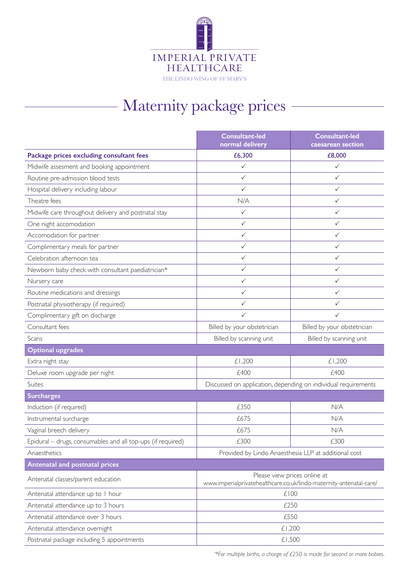

# Maternity package prices

|                                                             | <b>Consultant-led</b><br>normal delivery                                                            | <b>Consultant-led</b><br>caesarean section |
|-------------------------------------------------------------|-----------------------------------------------------------------------------------------------------|--------------------------------------------|
| Package prices excluding consultant fees                    | £6,300                                                                                              | £8,000                                     |
| Midwife assesment and booking appointment                   | ✓                                                                                                   | ✓                                          |
| Routine pre-admission blood tests                           | $\checkmark$                                                                                        | $\checkmark$                               |
| Hospital delivery including labour                          | $\checkmark$                                                                                        | $\checkmark$                               |
| Theatre fees                                                | N/A                                                                                                 | ✓                                          |
| Midwife care throughout delivery and postnatal stay         | ✓                                                                                                   | ✓                                          |
| One night accomodation                                      | $\checkmark$                                                                                        | ✓                                          |
| Accomodation for partner                                    | $\checkmark$                                                                                        | $\checkmark$                               |
| Complimentary meals for partner                             | ✓                                                                                                   | $\checkmark$                               |
| Celebration afternoon tea                                   | ✓                                                                                                   | ✓                                          |
| Newborn baby check with consultant paediatrician*           | $\checkmark$                                                                                        | $\checkmark$                               |
| Nursery care                                                | ✓                                                                                                   | ✓                                          |
| Routine medications and dressings                           | ✓                                                                                                   | $\checkmark$                               |
| Postnatal physiotherapy (if required)                       | ✓                                                                                                   | ✓                                          |
| Complimentary gift on discharge                             | ✓                                                                                                   | ✓                                          |
| Consultant fees                                             | Billed by your obstetrician                                                                         | Billed by your obstetrician                |
| Scans                                                       | Billed by scanning unit                                                                             | Billed by scanning unit                    |
| <b>Optional upgrades</b>                                    |                                                                                                     |                                            |
| Extra night stay                                            | £1,200                                                                                              | £1,200                                     |
| Deluxe room upgrade per night                               | £400                                                                                                | £400                                       |
| Suites                                                      | Discussed on application, depending on individual requirements                                      |                                            |
| <b>Surcharges</b>                                           |                                                                                                     |                                            |
| Induction (if required)                                     | £350                                                                                                | N/A                                        |
| Instrumental surcharge                                      | £675                                                                                                | N/A                                        |
| Vaginal breech delivery                                     | £675                                                                                                | N/A                                        |
| Epidural - drugs, consumables and all top-ups (if required) | £300                                                                                                | £300                                       |
| Anaesthetics                                                | Provided by Lindo Anaesthesia LLP at additional cost                                                |                                            |
| <b>Antenatal and postnatal prices</b>                       |                                                                                                     |                                            |
| Antenatal classes/parent education                          | Please view prices online at<br>www.imperialprivatehealthcare.co.uk/lindo-maternity-antenatal-care/ |                                            |
| Antenatal attendance up to I hour                           | £100                                                                                                |                                            |
| Antenatal attendance up to 3 hours                          | £250                                                                                                |                                            |
| Antenatal attendance over 3 hours                           | £550                                                                                                |                                            |
| Antenatal attendance overnight                              | £1,200                                                                                              |                                            |
| Postnatal package including 5 appointments                  | £1,500                                                                                              |                                            |

*'\*For multiple births, a charge of £250 is made for second or more babies.*